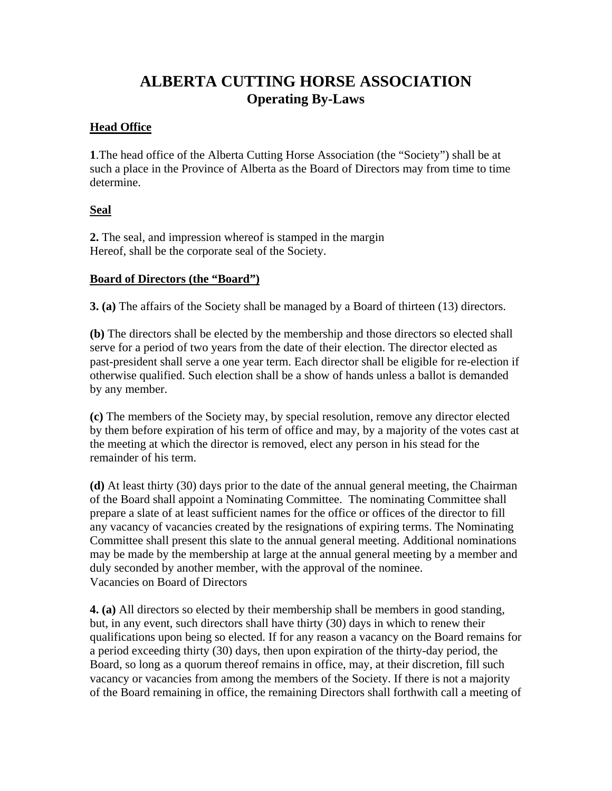# **ALBERTA CUTTING HORSE ASSOCIATION Operating By-Laws**

### **Head Office**

**1**.The head office of the Alberta Cutting Horse Association (the "Society") shall be at such a place in the Province of Alberta as the Board of Directors may from time to time determine.

### **Seal**

**2.** The seal, and impression whereof is stamped in the margin Hereof, shall be the corporate seal of the Society.

### **Board of Directors (the "Board")**

**3. (a)** The affairs of the Society shall be managed by a Board of thirteen (13) directors.

**(b)** The directors shall be elected by the membership and those directors so elected shall serve for a period of two years from the date of their election. The director elected as past-president shall serve a one year term. Each director shall be eligible for re-election if otherwise qualified. Such election shall be a show of hands unless a ballot is demanded by any member.

**(c)** The members of the Society may, by special resolution, remove any director elected by them before expiration of his term of office and may, by a majority of the votes cast at the meeting at which the director is removed, elect any person in his stead for the remainder of his term.

**(d)** At least thirty (30) days prior to the date of the annual general meeting, the Chairman of the Board shall appoint a Nominating Committee. The nominating Committee shall prepare a slate of at least sufficient names for the office or offices of the director to fill any vacancy of vacancies created by the resignations of expiring terms. The Nominating Committee shall present this slate to the annual general meeting. Additional nominations may be made by the membership at large at the annual general meeting by a member and duly seconded by another member, with the approval of the nominee. Vacancies on Board of Directors

**4. (a)** All directors so elected by their membership shall be members in good standing, but, in any event, such directors shall have thirty (30) days in which to renew their qualifications upon being so elected. If for any reason a vacancy on the Board remains for a period exceeding thirty (30) days, then upon expiration of the thirty-day period, the Board, so long as a quorum thereof remains in office, may, at their discretion, fill such vacancy or vacancies from among the members of the Society. If there is not a majority of the Board remaining in office, the remaining Directors shall forthwith call a meeting of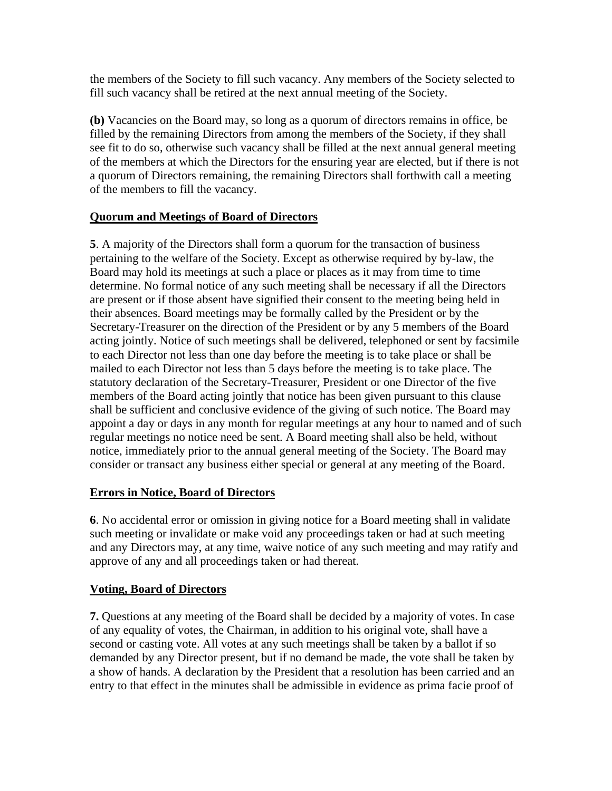the members of the Society to fill such vacancy. Any members of the Society selected to fill such vacancy shall be retired at the next annual meeting of the Society.

**(b)** Vacancies on the Board may, so long as a quorum of directors remains in office, be filled by the remaining Directors from among the members of the Society, if they shall see fit to do so, otherwise such vacancy shall be filled at the next annual general meeting of the members at which the Directors for the ensuring year are elected, but if there is not a quorum of Directors remaining, the remaining Directors shall forthwith call a meeting of the members to fill the vacancy.

### **Quorum and Meetings of Board of Directors**

**5**. A majority of the Directors shall form a quorum for the transaction of business pertaining to the welfare of the Society. Except as otherwise required by by-law, the Board may hold its meetings at such a place or places as it may from time to time determine. No formal notice of any such meeting shall be necessary if all the Directors are present or if those absent have signified their consent to the meeting being held in their absences. Board meetings may be formally called by the President or by the Secretary-Treasurer on the direction of the President or by any 5 members of the Board acting jointly. Notice of such meetings shall be delivered, telephoned or sent by facsimile to each Director not less than one day before the meeting is to take place or shall be mailed to each Director not less than 5 days before the meeting is to take place. The statutory declaration of the Secretary-Treasurer, President or one Director of the five members of the Board acting jointly that notice has been given pursuant to this clause shall be sufficient and conclusive evidence of the giving of such notice. The Board may appoint a day or days in any month for regular meetings at any hour to named and of such regular meetings no notice need be sent. A Board meeting shall also be held, without notice, immediately prior to the annual general meeting of the Society. The Board may consider or transact any business either special or general at any meeting of the Board.

### **Errors in Notice, Board of Directors**

**6**. No accidental error or omission in giving notice for a Board meeting shall in validate such meeting or invalidate or make void any proceedings taken or had at such meeting and any Directors may, at any time, waive notice of any such meeting and may ratify and approve of any and all proceedings taken or had thereat.

# **Voting, Board of Directors**

**7.** Questions at any meeting of the Board shall be decided by a majority of votes. In case of any equality of votes, the Chairman, in addition to his original vote, shall have a second or casting vote. All votes at any such meetings shall be taken by a ballot if so demanded by any Director present, but if no demand be made, the vote shall be taken by a show of hands. A declaration by the President that a resolution has been carried and an entry to that effect in the minutes shall be admissible in evidence as prima facie proof of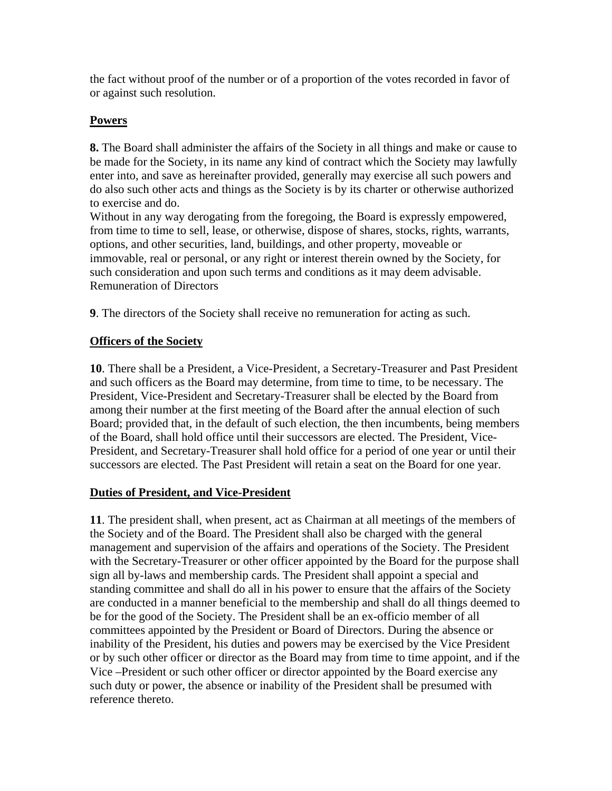the fact without proof of the number or of a proportion of the votes recorded in favor of or against such resolution.

### **Powers**

**8.** The Board shall administer the affairs of the Society in all things and make or cause to be made for the Society, in its name any kind of contract which the Society may lawfully enter into, and save as hereinafter provided, generally may exercise all such powers and do also such other acts and things as the Society is by its charter or otherwise authorized to exercise and do.

Without in any way derogating from the foregoing, the Board is expressly empowered, from time to time to sell, lease, or otherwise, dispose of shares, stocks, rights, warrants, options, and other securities, land, buildings, and other property, moveable or immovable, real or personal, or any right or interest therein owned by the Society, for such consideration and upon such terms and conditions as it may deem advisable. Remuneration of Directors

**9**. The directors of the Society shall receive no remuneration for acting as such.

# **Officers of the Society**

**10**. There shall be a President, a Vice-President, a Secretary-Treasurer and Past President and such officers as the Board may determine, from time to time, to be necessary. The President, Vice-President and Secretary-Treasurer shall be elected by the Board from among their number at the first meeting of the Board after the annual election of such Board; provided that, in the default of such election, the then incumbents, being members of the Board, shall hold office until their successors are elected. The President, Vice-President, and Secretary-Treasurer shall hold office for a period of one year or until their successors are elected. The Past President will retain a seat on the Board for one year.

### **Duties of President, and Vice-President**

**11**. The president shall, when present, act as Chairman at all meetings of the members of the Society and of the Board. The President shall also be charged with the general management and supervision of the affairs and operations of the Society. The President with the Secretary-Treasurer or other officer appointed by the Board for the purpose shall sign all by-laws and membership cards. The President shall appoint a special and standing committee and shall do all in his power to ensure that the affairs of the Society are conducted in a manner beneficial to the membership and shall do all things deemed to be for the good of the Society. The President shall be an ex-officio member of all committees appointed by the President or Board of Directors. During the absence or inability of the President, his duties and powers may be exercised by the Vice President or by such other officer or director as the Board may from time to time appoint, and if the Vice –President or such other officer or director appointed by the Board exercise any such duty or power, the absence or inability of the President shall be presumed with reference thereto.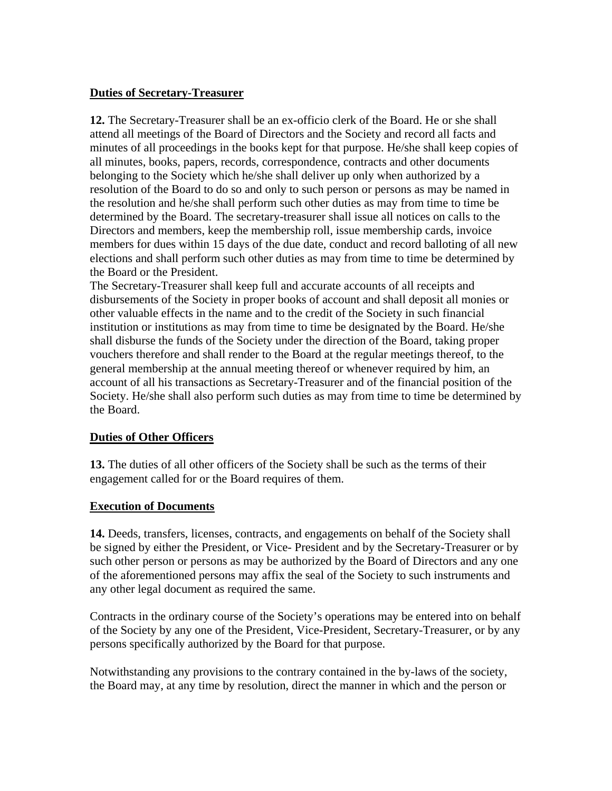### **Duties of Secretary-Treasurer**

**12.** The Secretary-Treasurer shall be an ex-officio clerk of the Board. He or she shall attend all meetings of the Board of Directors and the Society and record all facts and minutes of all proceedings in the books kept for that purpose. He/she shall keep copies of all minutes, books, papers, records, correspondence, contracts and other documents belonging to the Society which he/she shall deliver up only when authorized by a resolution of the Board to do so and only to such person or persons as may be named in the resolution and he/she shall perform such other duties as may from time to time be determined by the Board. The secretary-treasurer shall issue all notices on calls to the Directors and members, keep the membership roll, issue membership cards, invoice members for dues within 15 days of the due date, conduct and record balloting of all new elections and shall perform such other duties as may from time to time be determined by the Board or the President.

The Secretary-Treasurer shall keep full and accurate accounts of all receipts and disbursements of the Society in proper books of account and shall deposit all monies or other valuable effects in the name and to the credit of the Society in such financial institution or institutions as may from time to time be designated by the Board. He/she shall disburse the funds of the Society under the direction of the Board, taking proper vouchers therefore and shall render to the Board at the regular meetings thereof, to the general membership at the annual meeting thereof or whenever required by him, an account of all his transactions as Secretary-Treasurer and of the financial position of the Society. He/she shall also perform such duties as may from time to time be determined by the Board.

### **Duties of Other Officers**

**13.** The duties of all other officers of the Society shall be such as the terms of their engagement called for or the Board requires of them.

#### **Execution of Documents**

**14.** Deeds, transfers, licenses, contracts, and engagements on behalf of the Society shall be signed by either the President, or Vice- President and by the Secretary-Treasurer or by such other person or persons as may be authorized by the Board of Directors and any one of the aforementioned persons may affix the seal of the Society to such instruments and any other legal document as required the same.

Contracts in the ordinary course of the Society's operations may be entered into on behalf of the Society by any one of the President, Vice-President, Secretary-Treasurer, or by any persons specifically authorized by the Board for that purpose.

Notwithstanding any provisions to the contrary contained in the by-laws of the society, the Board may, at any time by resolution, direct the manner in which and the person or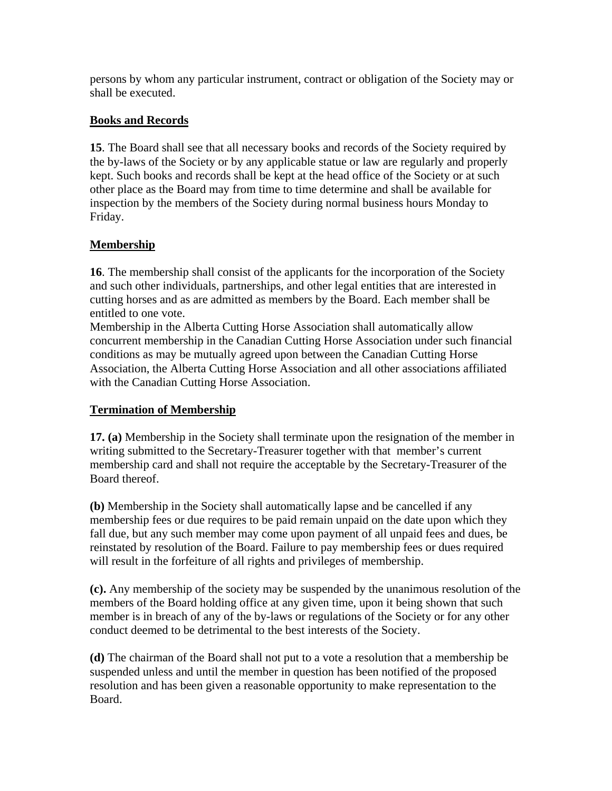persons by whom any particular instrument, contract or obligation of the Society may or shall be executed.

### **Books and Records**

**15**. The Board shall see that all necessary books and records of the Society required by the by-laws of the Society or by any applicable statue or law are regularly and properly kept. Such books and records shall be kept at the head office of the Society or at such other place as the Board may from time to time determine and shall be available for inspection by the members of the Society during normal business hours Monday to Friday.

# **Membership**

**16**. The membership shall consist of the applicants for the incorporation of the Society and such other individuals, partnerships, and other legal entities that are interested in cutting horses and as are admitted as members by the Board. Each member shall be entitled to one vote.

Membership in the Alberta Cutting Horse Association shall automatically allow concurrent membership in the Canadian Cutting Horse Association under such financial conditions as may be mutually agreed upon between the Canadian Cutting Horse Association, the Alberta Cutting Horse Association and all other associations affiliated with the Canadian Cutting Horse Association.

# **Termination of Membership**

**17. (a)** Membership in the Society shall terminate upon the resignation of the member in writing submitted to the Secretary-Treasurer together with that member's current membership card and shall not require the acceptable by the Secretary-Treasurer of the Board thereof.

**(b)** Membership in the Society shall automatically lapse and be cancelled if any membership fees or due requires to be paid remain unpaid on the date upon which they fall due, but any such member may come upon payment of all unpaid fees and dues, be reinstated by resolution of the Board. Failure to pay membership fees or dues required will result in the forfeiture of all rights and privileges of membership.

**(c).** Any membership of the society may be suspended by the unanimous resolution of the members of the Board holding office at any given time, upon it being shown that such member is in breach of any of the by-laws or regulations of the Society or for any other conduct deemed to be detrimental to the best interests of the Society.

**(d)** The chairman of the Board shall not put to a vote a resolution that a membership be suspended unless and until the member in question has been notified of the proposed resolution and has been given a reasonable opportunity to make representation to the Board.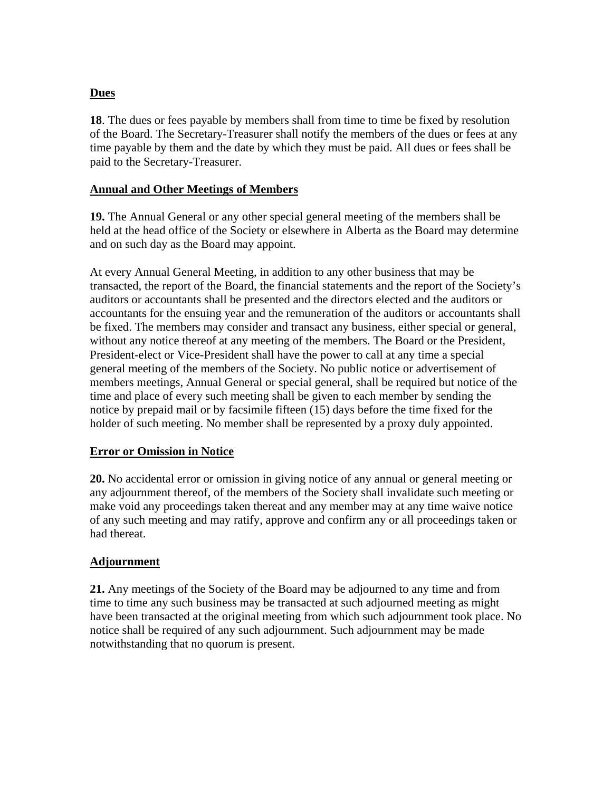### **Dues**

**18**. The dues or fees payable by members shall from time to time be fixed by resolution of the Board. The Secretary-Treasurer shall notify the members of the dues or fees at any time payable by them and the date by which they must be paid. All dues or fees shall be paid to the Secretary-Treasurer.

### **Annual and Other Meetings of Members**

**19.** The Annual General or any other special general meeting of the members shall be held at the head office of the Society or elsewhere in Alberta as the Board may determine and on such day as the Board may appoint.

At every Annual General Meeting, in addition to any other business that may be transacted, the report of the Board, the financial statements and the report of the Society's auditors or accountants shall be presented and the directors elected and the auditors or accountants for the ensuing year and the remuneration of the auditors or accountants shall be fixed. The members may consider and transact any business, either special or general, without any notice thereof at any meeting of the members. The Board or the President, President-elect or Vice-President shall have the power to call at any time a special general meeting of the members of the Society. No public notice or advertisement of members meetings, Annual General or special general, shall be required but notice of the time and place of every such meeting shall be given to each member by sending the notice by prepaid mail or by facsimile fifteen (15) days before the time fixed for the holder of such meeting. No member shall be represented by a proxy duly appointed.

#### **Error or Omission in Notice**

**20.** No accidental error or omission in giving notice of any annual or general meeting or any adjournment thereof, of the members of the Society shall invalidate such meeting or make void any proceedings taken thereat and any member may at any time waive notice of any such meeting and may ratify, approve and confirm any or all proceedings taken or had thereat.

### **Adjournment**

**21.** Any meetings of the Society of the Board may be adjourned to any time and from time to time any such business may be transacted at such adjourned meeting as might have been transacted at the original meeting from which such adjournment took place. No notice shall be required of any such adjournment. Such adjournment may be made notwithstanding that no quorum is present.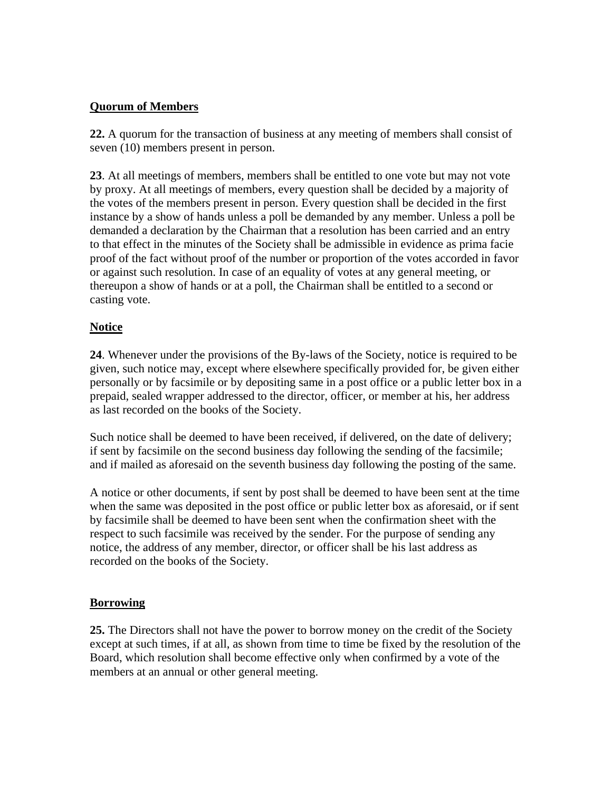### **Quorum of Members**

**22.** A quorum for the transaction of business at any meeting of members shall consist of seven (10) members present in person.

**23**. At all meetings of members, members shall be entitled to one vote but may not vote by proxy. At all meetings of members, every question shall be decided by a majority of the votes of the members present in person. Every question shall be decided in the first instance by a show of hands unless a poll be demanded by any member. Unless a poll be demanded a declaration by the Chairman that a resolution has been carried and an entry to that effect in the minutes of the Society shall be admissible in evidence as prima facie proof of the fact without proof of the number or proportion of the votes accorded in favor or against such resolution. In case of an equality of votes at any general meeting, or thereupon a show of hands or at a poll, the Chairman shall be entitled to a second or casting vote.

### **Notice**

**24**. Whenever under the provisions of the By-laws of the Society, notice is required to be given, such notice may, except where elsewhere specifically provided for, be given either personally or by facsimile or by depositing same in a post office or a public letter box in a prepaid, sealed wrapper addressed to the director, officer, or member at his, her address as last recorded on the books of the Society.

Such notice shall be deemed to have been received, if delivered, on the date of delivery; if sent by facsimile on the second business day following the sending of the facsimile; and if mailed as aforesaid on the seventh business day following the posting of the same.

A notice or other documents, if sent by post shall be deemed to have been sent at the time when the same was deposited in the post office or public letter box as aforesaid, or if sent by facsimile shall be deemed to have been sent when the confirmation sheet with the respect to such facsimile was received by the sender. For the purpose of sending any notice, the address of any member, director, or officer shall be his last address as recorded on the books of the Society.

### **Borrowing**

**25.** The Directors shall not have the power to borrow money on the credit of the Society except at such times, if at all, as shown from time to time be fixed by the resolution of the Board, which resolution shall become effective only when confirmed by a vote of the members at an annual or other general meeting.